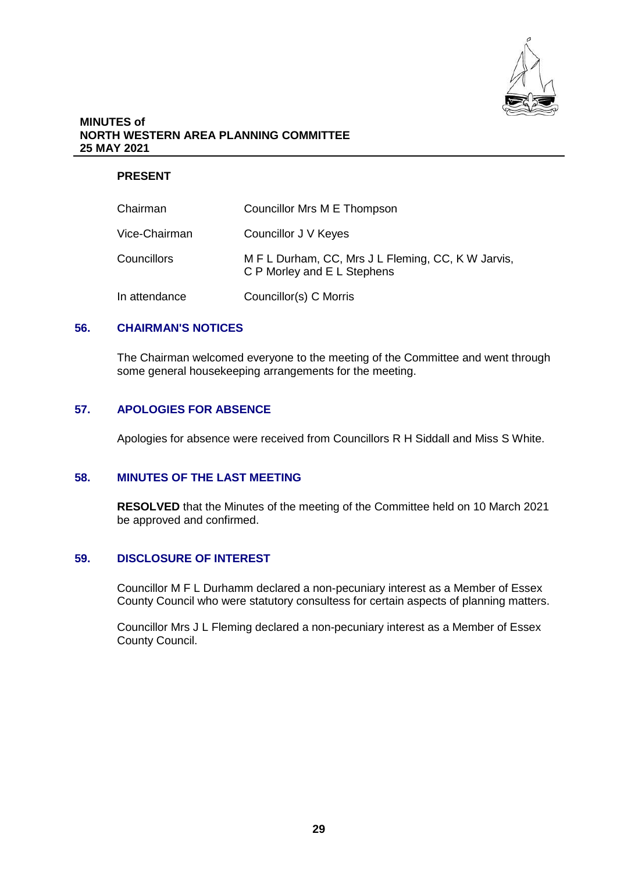

#### **MINUTES of NORTH WESTERN AREA PLANNING COMMITTEE 25 MAY 2021**

# **PRESENT**

| Chairman           | Councillor Mrs M E Thompson                                                       |
|--------------------|-----------------------------------------------------------------------------------|
| Vice-Chairman      | Councillor J V Keyes                                                              |
| <b>Councillors</b> | M F L Durham, CC, Mrs J L Fleming, CC, K W Jarvis,<br>C P Morley and E L Stephens |
| In attendance      | Councillor(s) C Morris                                                            |

# **56. CHAIRMAN'S NOTICES**

The Chairman welcomed everyone to the meeting of the Committee and went through some general housekeeping arrangements for the meeting.

# **57. APOLOGIES FOR ABSENCE**

Apologies for absence were received from Councillors R H Siddall and Miss S White.

#### **58. MINUTES OF THE LAST MEETING**

**RESOLVED** that the Minutes of the meeting of the Committee held on 10 March 2021 be approved and confirmed.

# **59. DISCLOSURE OF INTEREST**

Councillor M F L Durhamm declared a non-pecuniary interest as a Member of Essex County Council who were statutory consultess for certain aspects of planning matters.

Councillor Mrs J L Fleming declared a non-pecuniary interest as a Member of Essex County Council.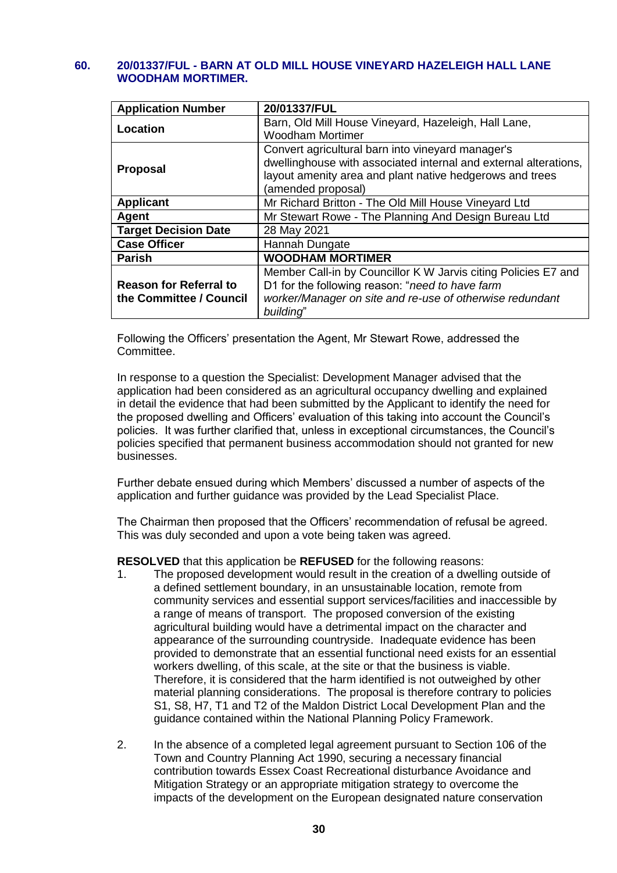#### **60. 20/01337/FUL - BARN AT OLD MILL HOUSE VINEYARD HAZELEIGH HALL LANE WOODHAM MORTIMER.**

| <b>Application Number</b>     | 20/01337/FUL                                                                                                                                       |
|-------------------------------|----------------------------------------------------------------------------------------------------------------------------------------------------|
| Location                      | Barn, Old Mill House Vineyard, Hazeleigh, Hall Lane,<br><b>Woodham Mortimer</b>                                                                    |
|                               | Convert agricultural barn into vineyard manager's                                                                                                  |
| <b>Proposal</b>               | dwellinghouse with associated internal and external alterations,<br>layout amenity area and plant native hedgerows and trees<br>(amended proposal) |
| <b>Applicant</b>              | Mr Richard Britton - The Old Mill House Vineyard Ltd                                                                                               |
| Agent                         | Mr Stewart Rowe - The Planning And Design Bureau Ltd                                                                                               |
| <b>Target Decision Date</b>   | 28 May 2021                                                                                                                                        |
| <b>Case Officer</b>           | Hannah Dungate                                                                                                                                     |
| <b>Parish</b>                 | <b>WOODHAM MORTIMER</b>                                                                                                                            |
|                               | Member Call-in by Councillor K W Jarvis citing Policies E7 and                                                                                     |
| <b>Reason for Referral to</b> | D1 for the following reason: "need to have farm                                                                                                    |
| the Committee / Council       | worker/Manager on site and re-use of otherwise redundant                                                                                           |
|                               | building"                                                                                                                                          |

Following the Officers' presentation the Agent, Mr Stewart Rowe, addressed the Committee.

In response to a question the Specialist: Development Manager advised that the application had been considered as an agricultural occupancy dwelling and explained in detail the evidence that had been submitted by the Applicant to identify the need for the proposed dwelling and Officers' evaluation of this taking into account the Council's policies. It was further clarified that, unless in exceptional circumstances, the Council's policies specified that permanent business accommodation should not granted for new businesses.

Further debate ensued during which Members' discussed a number of aspects of the application and further guidance was provided by the Lead Specialist Place.

The Chairman then proposed that the Officers' recommendation of refusal be agreed. This was duly seconded and upon a vote being taken was agreed.

**RESOLVED** that this application be **REFUSED** for the following reasons:

- 1. The proposed development would result in the creation of a dwelling outside of a defined settlement boundary, in an unsustainable location, remote from community services and essential support services/facilities and inaccessible by a range of means of transport. The proposed conversion of the existing agricultural building would have a detrimental impact on the character and appearance of the surrounding countryside. Inadequate evidence has been provided to demonstrate that an essential functional need exists for an essential workers dwelling, of this scale, at the site or that the business is viable. Therefore, it is considered that the harm identified is not outweighed by other material planning considerations. The proposal is therefore contrary to policies S1, S8, H7, T1 and T2 of the Maldon District Local Development Plan and the guidance contained within the National Planning Policy Framework.
- 2. In the absence of a completed legal agreement pursuant to Section 106 of the Town and Country Planning Act 1990, securing a necessary financial contribution towards Essex Coast Recreational disturbance Avoidance and Mitigation Strategy or an appropriate mitigation strategy to overcome the impacts of the development on the European designated nature conservation